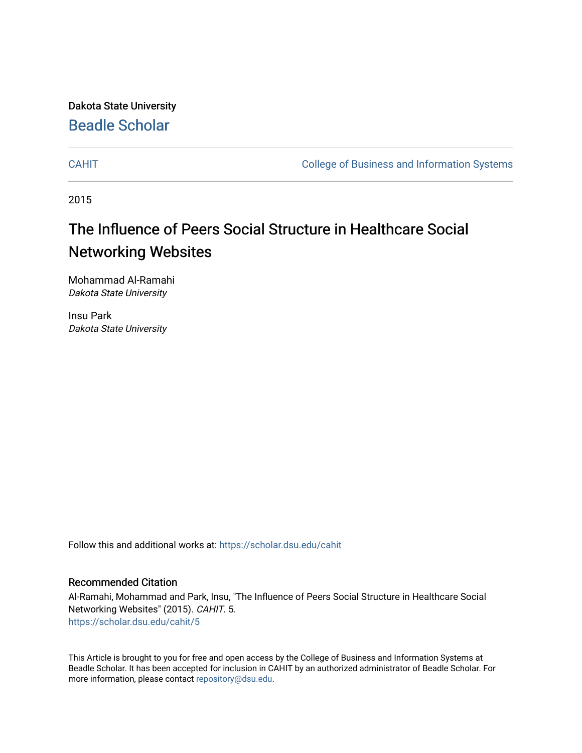Dakota State University [Beadle Scholar](https://scholar.dsu.edu/)

[CAHIT](https://scholar.dsu.edu/cahit) [College of Business and Information Systems](https://scholar.dsu.edu/biscollege) 

2015

## The Influence of Peers Social Structure in Healthcare Social Networking Websites

Mohammad Al-Ramahi Dakota State University

Insu Park Dakota State University

Follow this and additional works at: [https://scholar.dsu.edu/cahit](https://scholar.dsu.edu/cahit?utm_source=scholar.dsu.edu%2Fcahit%2F5&utm_medium=PDF&utm_campaign=PDFCoverPages) 

#### Recommended Citation

Al-Ramahi, Mohammad and Park, Insu, "The Influence of Peers Social Structure in Healthcare Social Networking Websites" (2015). CAHIT. 5. [https://scholar.dsu.edu/cahit/5](https://scholar.dsu.edu/cahit/5?utm_source=scholar.dsu.edu%2Fcahit%2F5&utm_medium=PDF&utm_campaign=PDFCoverPages)

This Article is brought to you for free and open access by the College of Business and Information Systems at Beadle Scholar. It has been accepted for inclusion in CAHIT by an authorized administrator of Beadle Scholar. For more information, please contact [repository@dsu.edu.](mailto:repository@dsu.edu)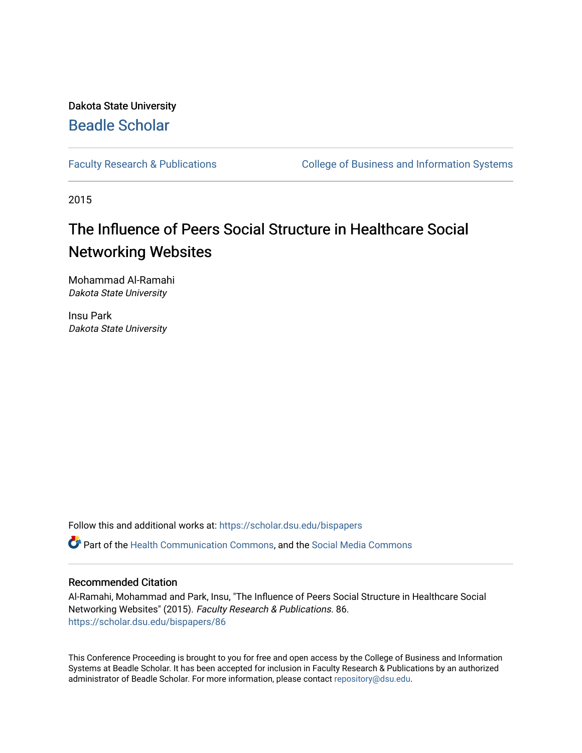### Dakota State University [Beadle Scholar](https://scholar.dsu.edu/)

[Faculty Research & Publications](https://scholar.dsu.edu/bispapers) **College of Business and Information Systems** 

2015

## The Influence of Peers Social Structure in Healthcare Social Networking Websites

Mohammad Al-Ramahi Dakota State University

Insu Park Dakota State University

Follow this and additional works at: [https://scholar.dsu.edu/bispapers](https://scholar.dsu.edu/bispapers?utm_source=scholar.dsu.edu%2Fbispapers%2F86&utm_medium=PDF&utm_campaign=PDFCoverPages)

Part of the [Health Communication Commons](http://network.bepress.com/hgg/discipline/330?utm_source=scholar.dsu.edu%2Fbispapers%2F86&utm_medium=PDF&utm_campaign=PDFCoverPages), and the [Social Media Commons](http://network.bepress.com/hgg/discipline/1249?utm_source=scholar.dsu.edu%2Fbispapers%2F86&utm_medium=PDF&utm_campaign=PDFCoverPages) 

#### Recommended Citation

Al-Ramahi, Mohammad and Park, Insu, "The Influence of Peers Social Structure in Healthcare Social Networking Websites" (2015). Faculty Research & Publications. 86. [https://scholar.dsu.edu/bispapers/86](https://scholar.dsu.edu/bispapers/86?utm_source=scholar.dsu.edu%2Fbispapers%2F86&utm_medium=PDF&utm_campaign=PDFCoverPages) 

This Conference Proceeding is brought to you for free and open access by the College of Business and Information Systems at Beadle Scholar. It has been accepted for inclusion in Faculty Research & Publications by an authorized administrator of Beadle Scholar. For more information, please contact [repository@dsu.edu.](mailto:repository@dsu.edu)